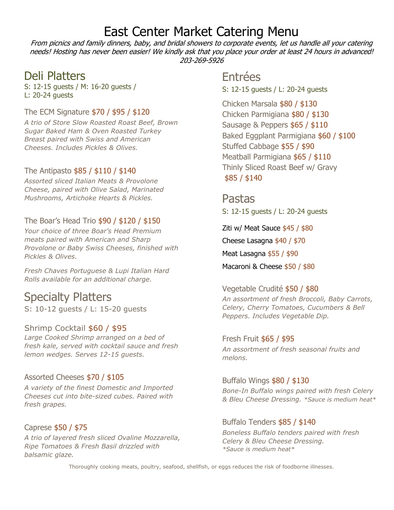# East Center Market Catering Menu

From picnics and family dinners, baby, and bridal showers to corporate events, let us handle all your catering needs! Hosting has never been easier! We kindly ask that you place your order at least 24 hours in advanced! 203-269-5926

### Deli Platters

S: 12-15 guests / M: 16-20 guests / L: 20-24 guests

#### The ECM Signature \$70 / \$95 / \$120

*A trio of Store Slow Roasted Roast Beef, Brown Sugar Baked Ham & Oven Roasted Turkey Breast paired with Swiss and American Cheeses. Includes Pickles & Olives.*

#### The Antipasto \$85 / \$110 / \$140

*Assorted sliced Italian Meats & Provolone Cheese, paired with Olive Salad, Marinated Mushrooms, Artichoke Hearts & Pickles.*

#### The Boar's Head Trio \$90 / \$120 / \$150

*Your choice of three Boar's Head Premium meats paired with American and Sharp Provolone or Baby Swiss Cheeses, finished with Pickles & Olives.*

*Fresh Chaves Portuguese & Lupi Italian Hard Rolls available for an additional charge.*

# Specialty Platters

S: 10-12 guests / L: 15-20 guests

#### Shrimp Cocktail \$60 / \$95

*Large Cooked Shrimp arranged on a bed of fresh kale, served with cocktail sauce and fresh lemon wedges. Serves 12-15 guests.*

#### Assorted Cheeses \$70 / \$105

*A variety of the finest Domestic and Imported Cheeses cut into bite-sized cubes. Paired with fresh grapes.*

#### Caprese \$50 / \$75

*A trio of layered fresh sliced Ovaline Mozzarella, Ripe Tomatoes & Fresh Basil drizzled with balsamic glaze.*

### Entrées

S: 12-15 guests / L: 20-24 guests

Chicken Marsala \$80 / \$130 Chicken Parmigiana \$80 / \$130 Sausage & Peppers \$65 / \$110 Baked Eggplant Parmigiana \$60 / \$100 Stuffed Cabbage \$55 / \$90 Meatball Parmigiana \$65 / \$110 Thinly Sliced Roast Beef w/ Gravy \$85 / \$140

Pastas S: 12-15 guests / L: 20-24 guests

Ziti w/ Meat Sauce \$45 / \$80 Cheese Lasagna \$40 / \$70 Meat Lasagna \$55 / \$90 Macaroni & Cheese \$50 / \$80

#### Vegetable Crudité \$50 / \$80

*An assortment of fresh Broccoli, Baby Carrots, Celery, Cherry Tomatoes, Cucumbers & Bell Peppers. Includes Vegetable Dip.*

#### Fresh Fruit \$65 / \$95 *An assortment of fresh seasonal fruits and melons.*

Buffalo Wings \$80 / \$130 *Bone-In Buffalo wings paired with fresh Celery & Bleu Cheese Dressing. \*Sauce is medium heat\**

#### Buffalo Tenders \$85 / \$140

*Boneless Buffalo tenders paired with fresh Celery & Bleu Cheese Dressing. \*Sauce is medium heat\**

Thoroughly cooking meats, poultry, seafood, shellfish, or eggs reduces the risk of foodborne illnesses.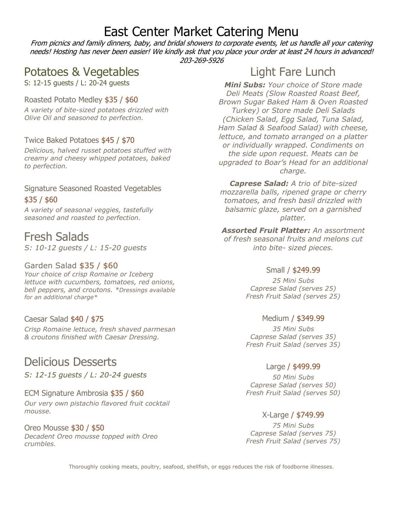# East Center Market Catering Menu

From picnics and family dinners, baby, and bridal showers to corporate events, let us handle all your catering needs! Hosting has never been easier! We kindly ask that you place your order at least 24 hours in advanced! 203-269-5926

## Potatoes & Vegetables

S: 12-15 guests / L: 20-24 guests

#### Roasted Potato Medley \$35 / \$60

*A variety of bite-sized potatoes drizzled with Olive Oil and seasoned to perfection.*

#### Twice Baked Potatoes \$45 / \$70

*Delicious, halved russet potatoes stuffed with creamy and cheesy whipped potatoes, baked to perfection.* 

#### Signature Seasoned Roasted Vegetables \$35 / \$60

*A variety of seasonal veggies, tastefully seasoned and roasted to perfection.*

### Fresh Salads

*S: 10-12 guests / L: 15-20 guests*

#### Garden Salad \$35 / \$60

*Your choice of crisp Romaine or Iceberg lettuce with cucumbers, tomatoes, red onions, bell peppers, and croutons. \*Dressings available for an additional charge\**

#### Caesar Salad \$40 / \$75

*Crisp Romaine lettuce, fresh shaved parmesan & croutons finished with Caesar Dressing.*

### Delicious Desserts

*S: 12-15 guests / L: 20-24 guests*

#### ECM Signature Ambrosia \$35 / \$60 *Our very own pistachio flavored fruit cocktail mousse.*

Oreo Mousse \$30 / \$50 *Decadent Oreo mousse topped with Oreo crumbles.*

## Light Fare Lunch

*Mini Subs: Your choice of Store made Deli Meats (Slow Roasted Roast Beef, Brown Sugar Baked Ham & Oven Roasted Turkey) or Store made Deli Salads (Chicken Salad, Egg Salad, Tuna Salad, Ham Salad & Seafood Salad) with cheese, lettuce, and tomato arranged on a platter or individually wrapped. Condiments on the side upon request. Meats can be upgraded to Boar's Head for an additional charge.*

*Caprese Salad: A trio of bite-sized mozzarella balls, ripened grape or cherry tomatoes, and fresh basil drizzled with balsamic glaze, served on a garnished platter.*

*Assorted Fruit Platter: An assortment of fresh seasonal fruits and melons cut into bite- sized pieces.*

#### Small / \$249.99

*25 Mini Subs Caprese Salad (serves 25) Fresh Fruit Salad (serves 25)*

#### Medium / \$349.99

*35 Mini Subs Caprese Salad (serves 35) Fresh Fruit Salad (serves 35)*

#### Large / \$499.99

*50 Mini Subs Caprese Salad (serves 50) Fresh Fruit Salad (serves 50)*

#### X-Large / \$749.99

*75 Mini Subs Caprese Salad (serves 75) Fresh Fruit Salad (serves 75)*

Thoroughly cooking meats, poultry, seafood, shellfish, or eggs reduces the risk of foodborne illnesses.